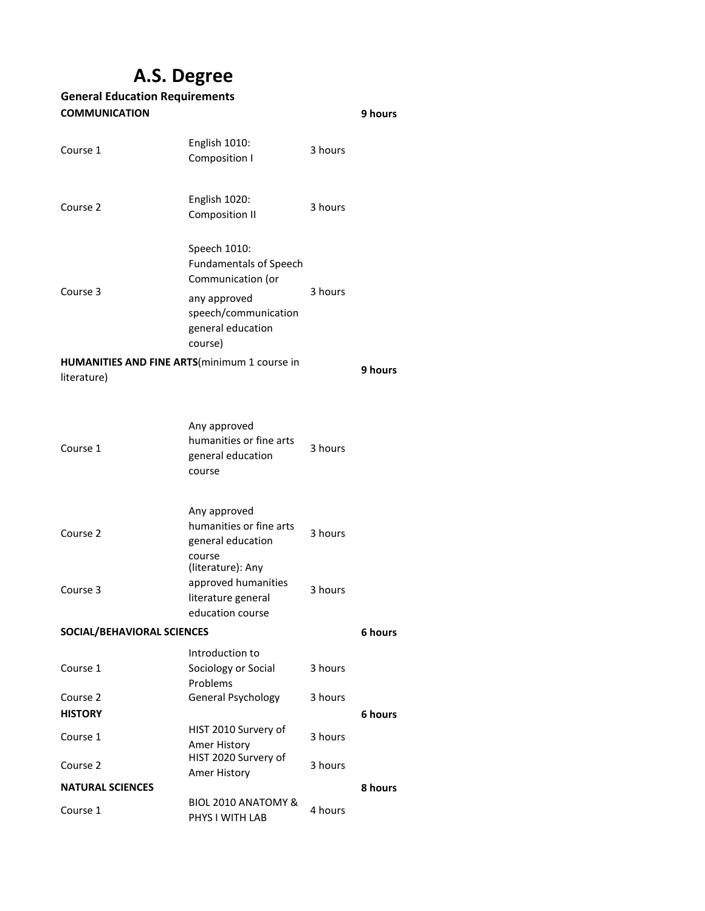# **A.S. Degree**

#### **9 hours** Course 1 English 1010: Composition I 3 hours Course 2 English 1020: Composition II 3 hours Speech 1010: Fundamentals of Speech Communication (or any approved Course 3 3 hours speech/communication general education course) **9 hours** Course 1 Any approved humanities or fine arts general education course 3 hours Course 2 Any approved humanities or fine arts general education course 3 hours Course 3 (literature): Any approved humanities literature general education course 3 hours **6 hours** Course 1 Introduction to Sociology or Social Problems 3 hours Course 2 General Psychology 3 hours **6 hours** Course 1 HIST 2010 Survery of Amer History 3 hours Course 2 HIST 2020 Survery of Amer History 3 hours **8 hours** Course 1 BIOL 2010 ANATOMY & PHYS I WITH LAB 4 hours **General Education Requirements COMMUNICATION HUMANITIES AND FINE ARTS**(minimum 1 course in literature) **SOCIAL/BEHAVIORAL SCIENCES HISTORY NATURAL SCIENCES**